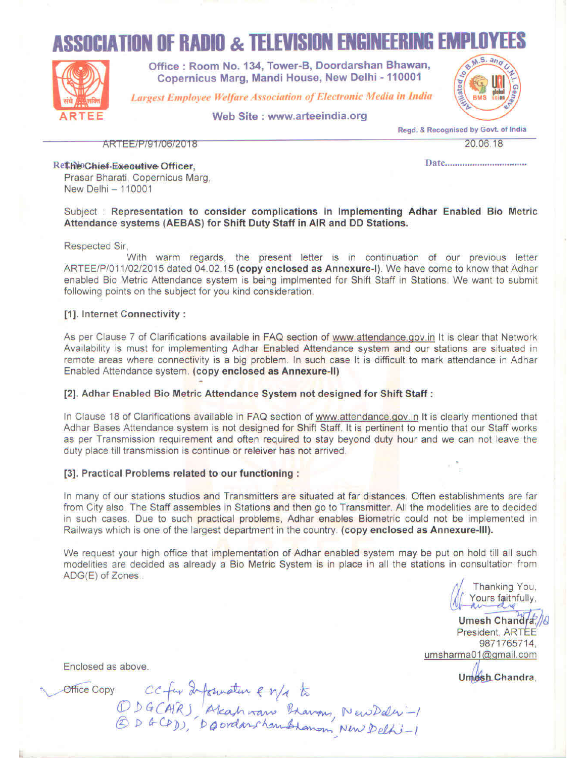# **ASSOCIATION OF RADIO & TELEVISION ENGINEERING EMPLO**



Office: Room No. 134, Tower-B, Doordarshan Bhawan, Copernicus Marg, Mandi House, New Delhi - 110001

**Largest Employee Welfare Association of Electronic Media in India** 

Web Site : www.arteeindia.org



Read, & Recognised by Govt. of India

ARTEE/P/91/06/2018

20.06.18

Rethe Chief Executive Officer. Prasar Bharati, Copernicus Marq. New Delhi - 110001

Subject : Representation to consider complications in Implementing Adhar Enabled Bio Metric Attendance systems (AEBAS) for Shift Duty Staff in AIR and DD Stations.

**Respected Sir,** 

With warm regards, the present letter is in continuation of our previous letter ARTEE/P/011/02/2015 dated 04.02.15 (copy enclosed as Annexure-I). We have come to know that Adhar enabled Bio Metric Attendance system is being implmented for Shift Staff in Stations. We want to submit following points on the subject for you kind consideration.

#### [1]. Internet Connectivity:

As per Clause 7 of Clarifications available in FAQ section of www.attendance.gov.in It is clear that Network Availability is must for implementing Adhar Enabled Attendance system and our stations are situated in remote areas where connectivity is a big problem. In such case It is difficult to mark attendance in Adhar Enabled Attendance system. (copy enclosed as Annexure-II)

#### [2]. Adhar Enabled Bio Metric Attendance System not designed for Shift Staff:

In Clause 18 of Clarifications available in FAQ section of www.attendance.gov.in It is clearly mentioned that Adhar Bases Attendance system is not designed for Shift Staff. It is pertinent to mentio that our Staff works as per Transmission requirement and often required to stay beyond duty hour and we can not leave the duty place till transmission is continue or releiver has not arrived.

#### [3]. Practical Problems related to our functioning :

In many of our stations studios and Transmitters are situated at far distances. Often establishments are far from City also. The Staff assembles in Stations and then go to Transmitter. All the modelities are to decided in such cases. Due to such practical problems, Adhar enables Biometric could not be implemented in Railways which is one of the largest department in the country. (copy enclosed as Annexure-III).

We request your high office that implementation of Adhar enabled system may be put on hold till all such modelities are decided as already a Bio Metric System is in place in all the stations in consultation from ADG(E) of Zones...

Thanking You. Yours faithfully,

Umesh Chandra President, ARTEE 9871765714. umsharma01@gmail.com

Umesh Chandra

Enclosed as above.

Office Copy. CC fur 2 formation en/a to<br>DDGCAR) Alcahman Bravons, New Delhi-1<br>© DGCPD), DQOrdanshambronom New Delhi-1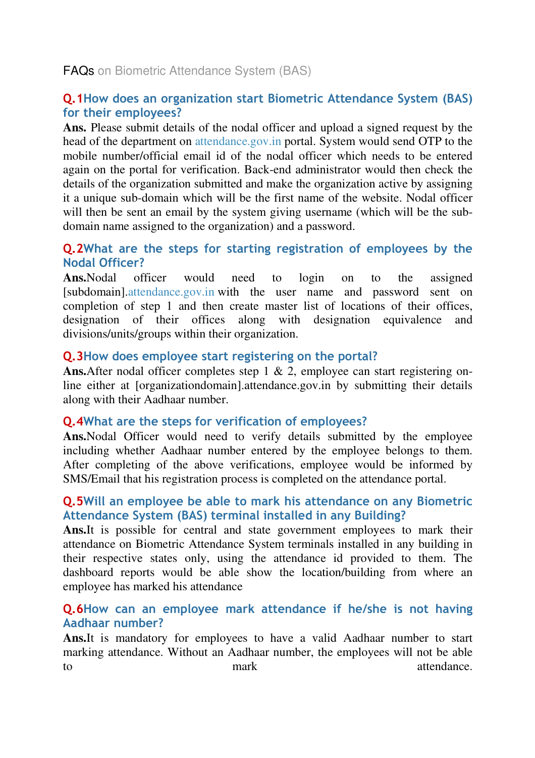FAQs on Biometric Attendance System (BAS)

### **Q.1How does an organization start Biometric Attendance System (BAS) for their employees?**

**Ans.** Please submit details of the nodal officer and upload a signed request by the head of the department on attendance.gov.in portal. System would send OTP to the mobile number/official email id of the nodal officer which needs to be entered again on the portal for verification. Back-end administrator would then check the details of the organization submitted and make the organization active by assigning it a unique sub-domain which will be the first name of the website. Nodal officer will then be sent an email by the system giving username (which will be the subdomain name assigned to the organization) and a password.

#### **Q.2What are the steps for starting registration of employees by the Nodal Officer?**

**Ans.**Nodal officer would need to login on to the assigned [subdomain].attendance.gov.in with the user name and password sent on completion of step 1 and then create master list of locations of their offices, designation of their offices along with designation equivalence and divisions/units/groups within their organization.

### **Q.3How does employee start registering on the portal?**

Ans. After nodal officer completes step 1 & 2, employee can start registering online either at [organizationdomain].attendance.gov.in by submitting their details along with their Aadhaar number.

### **Q.4What are the steps for verification of employees?**

Ans. Nodal Officer would need to verify details submitted by the employee including whether Aadhaar number entered by the employee belongs to them. After completing of the above verifications, employee would be informed by SMS/Email that his registration process is completed on the attendance portal.

#### **Q.5Will an employee be able to mark his attendance on any Biometric Attendance System (BAS) terminal installed in any Building?**

**Ans.**It is possible for central and state government employees to mark their attendance on Biometric Attendance System terminals installed in any building in their respective states only, using the attendance id provided to them. The dashboard reports would be able show the location/building from where an employee has marked his attendance

#### **Q.6How can an employee mark attendance if he/she is not having Aadhaar number?**

**Ans.**It is mandatory for employees to have a valid Aadhaar number to start marking attendance. Without an Aadhaar number, the employees will not be able to mark mark attendance.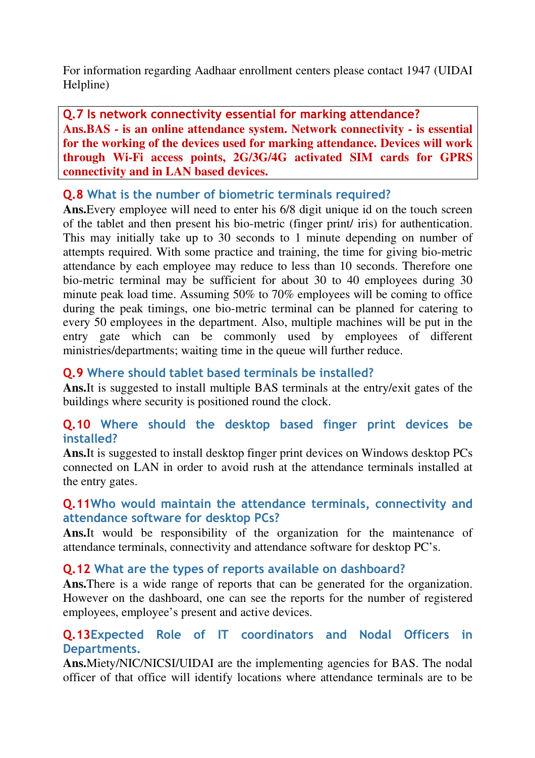For information regarding Aadhaar enrollment centers please contact 1947 (UIDAI Helpline)

**Q.7 Is network connectivity essential for marking attendance? Ans.BAS - is an online attendance system. Network connectivity - is essential for the working of the devices used for marking attendance. Devices will work through Wi-Fi access points, 2G/3G/4G activated SIM cards for GPRS connectivity and in LAN based devices.** 

#### **Q.8 What is the number of biometric terminals required?**

**Ans.**Every employee will need to enter his 6/8 digit unique id on the touch screen of the tablet and then present his bio-metric (finger print/ iris) for authentication. This may initially take up to 30 seconds to 1 minute depending on number of attempts required. With some practice and training, the time for giving bio-metric attendance by each employee may reduce to less than 10 seconds. Therefore one bio-metric terminal may be sufficient for about 30 to 40 employees during 30 minute peak load time. Assuming 50% to 70% employees will be coming to office during the peak timings, one bio-metric terminal can be planned for catering to every 50 employees in the department. Also, multiple machines will be put in the entry gate which can be commonly used by employees of different ministries/departments; waiting time in the queue will further reduce.

### **Q.9 Where should tablet based terminals be installed?**

**Ans.**It is suggested to install multiple BAS terminals at the entry/exit gates of the buildings where security is positioned round the clock.

### **Q.10 Where should the desktop based finger print devices be installed?**

**Ans.**It is suggested to install desktop finger print devices on Windows desktop PCs connected on LAN in order to avoid rush at the attendance terminals installed at the entry gates.

#### **Q.11Who would maintain the attendance terminals, connectivity and attendance software for desktop PCs?**

**Ans.**It would be responsibility of the organization for the maintenance of attendance terminals, connectivity and attendance software for desktop PC's.

### **Q.12 What are the types of reports available on dashboard?**

**Ans.**There is a wide range of reports that can be generated for the organization. However on the dashboard, one can see the reports for the number of registered employees, employee's present and active devices.

### **Q.13Expected Role of IT coordinators and Nodal Officers in Departments.**

**Ans.**Miety/NIC/NICSI/UIDAI are the implementing agencies for BAS. The nodal officer of that office will identify locations where attendance terminals are to be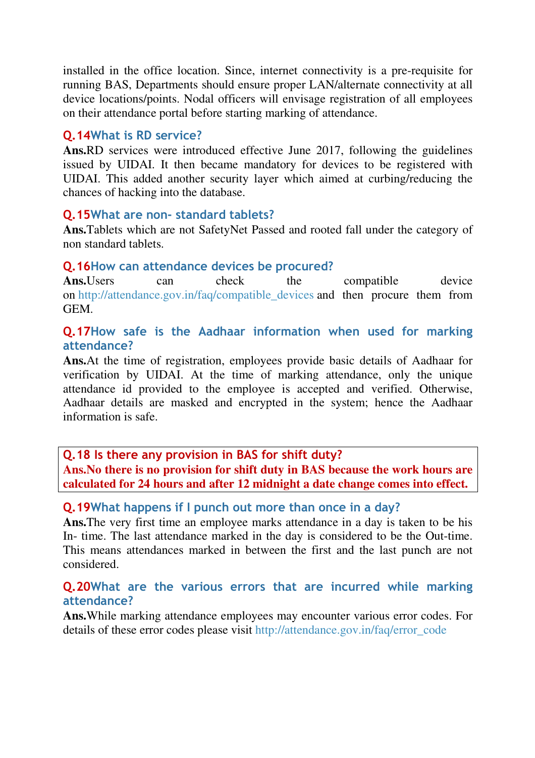installed in the office location. Since, internet connectivity is a pre-requisite for running BAS, Departments should ensure proper LAN/alternate connectivity at all device locations/points. Nodal officers will envisage registration of all employees on their attendance portal before starting marking of attendance.

#### **Q.14What is RD service?**

**Ans.**RD services were introduced effective June 2017, following the guidelines issued by UIDAI. It then became mandatory for devices to be registered with UIDAI. This added another security layer which aimed at curbing/reducing the chances of hacking into the database.

#### **Q.15What are non- standard tablets?**

**Ans.**Tablets which are not SafetyNet Passed and rooted fall under the category of non standard tablets.

#### **Q.16How can attendance devices be procured?**

Ans. Users can check the compatible device on http://attendance.gov.in/faq/compatible\_devices and then procure them from GEM.

#### **Q.17How safe is the Aadhaar information when used for marking attendance?**

**Ans.**At the time of registration, employees provide basic details of Aadhaar for verification by UIDAI. At the time of marking attendance, only the unique attendance id provided to the employee is accepted and verified. Otherwise, Aadhaar details are masked and encrypted in the system; hence the Aadhaar information is safe.

**Q.18 Is there any provision in BAS for shift duty? Ans.No there is no provision for shift duty in BAS because the work hours are calculated for 24 hours and after 12 midnight a date change comes into effect.** 

#### **Q.19What happens if I punch out more than once in a day?**

**Ans.**The very first time an employee marks attendance in a day is taken to be his In- time. The last attendance marked in the day is considered to be the Out-time. This means attendances marked in between the first and the last punch are not considered.

#### **Q.20What are the various errors that are incurred while marking attendance?**

**Ans.**While marking attendance employees may encounter various error codes. For details of these error codes please visit http://attendance.gov.in/faq/error\_code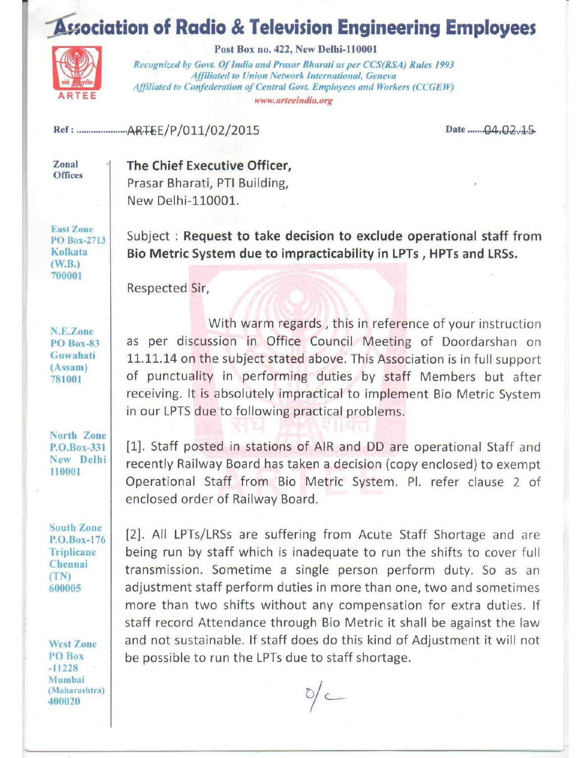## **Association of Radio & Television Engineering Employees**



Post Box no. 422, New Delhi-110001

Recognized by Govt. Of India and Prasar Bharati as per CCS(RSA) Rules 1993 Affiliated to Union Network International, Geneva Affiliated to Confederation of Central Govt. Employees and Workers (CCGEW) www.arteeindia.org

Date ....... $04.02...15$ 

Zonal **Offices**  The Chief Executive Officer, Prasar Bharati, PTI Building, New Delhi-110001.

**East Zone** PO Box-2713 Kolkata  $(W.B.)$ 700001

Subject: Request to take decision to exclude operational staff from Bio Metric System due to impracticability in LPTs, HPTs and LRSs.

Respected Sir,

N.E.Zone **PO** Box-83 Guwahati  $(Assam)$ 781001

With warm regards, this in reference of your instruction as per discussion in Office Council Meeting of Doordarshan on 11.11.14 on the subject stated above. This Association is in full support of punctuality in performing duties by staff Members but after receiving. It is absolutely impractical to implement Bio Metric System in our LPTS due to following practical problems.

North Zone P.O.Box-331 New Delhi 110001

**South Zone** P.O.Box-176 **Triplicane** Chennai  $(TN)$ 600005

**West Zone** PO Box  $-11228$ Mumbai (Maharashtra) 400020

[1]. Staff posted in stations of AIR and DD are operational Staff and recently Railway Board has taken a decision (copy enclosed) to exempt Operational Staff from Bio Metric System. Pl. refer clause 2 of enclosed order of Railway Board.

[2]. All LPTs/LRSs are suffering from Acute Staff Shortage and are being run by staff which is inadequate to run the shifts to cover full transmission. Sometime a single person perform duty. So as an adjustment staff perform duties in more than one, two and sometimes more than two shifts without any compensation for extra duties. If staff record Attendance through Bio Metric it shall be against the law and not sustainable. If staff does do this kind of Adjustment it will not be possible to run the LPTs due to staff shortage.

 $\frac{1}{2}$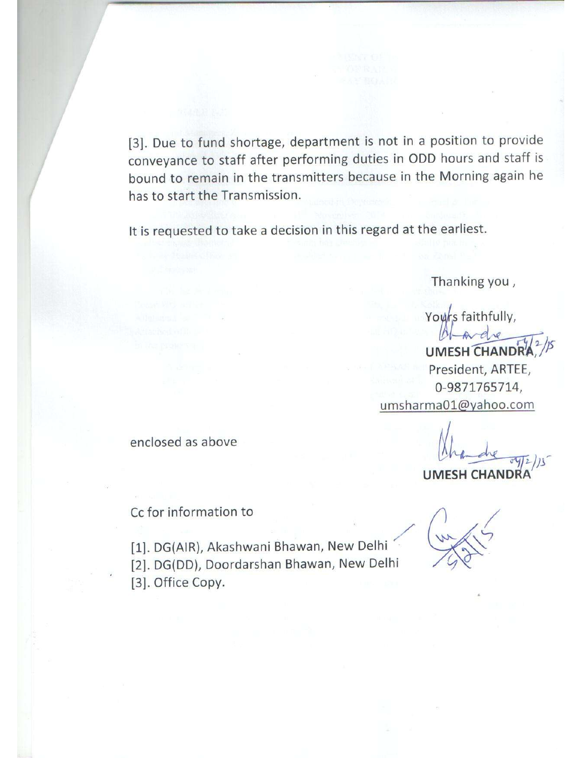[3]. Due to fund shortage, department is not in a position to provide conveyance to staff after performing duties in ODD hours and staff is bound to remain in the transmitters because in the Morning again he has to start the Transmission.

It is requested to take a decision in this regard at the earliest.

Thanking you,

Yours faithfully,

**UMESH CH HANDR** President, ARTEE, 0-9871765714, umsharma01@yahoo.com

enclosed as above

Cc for information to

[1]. DG(AIR), Akashwani Bhawan, New Delhi [2]. DG(DD), Doordarshan Bhawan, New Delhi [3]. Office Copy.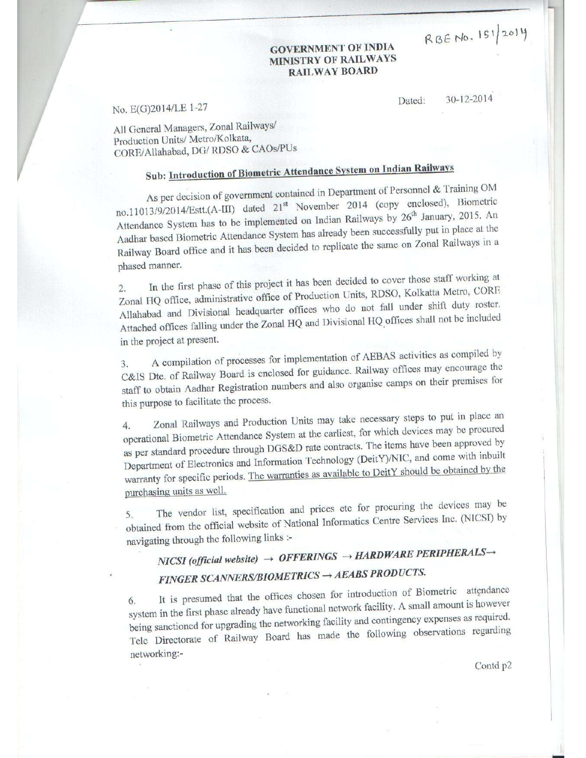RBENO. 151/2014

#### **GOVERNMENT OF INDIA MINISTRY OF RAILWAYS RAILWAY BOARD**

No. E(G)2014/LE 1-27

30-12-2014 Dated:

All General Managers, Zonal Railways/ Production Units/ Metro/Kolkata, CORE/Allahabad, DG/RDSO & CAOs/PUs

## Sub: Introduction of Biometric Attendance System on Indian Railways

As per decision of government contained in Department of Personnel & Training OM no.11013/9/2014/Estt.(A-III) dated 21<sup>st</sup> November 2014 (copy enclosed), Biometric Attendance System has to be implemented on Indian Railways by 26<sup>th</sup> January, 2015. An Aadhar based Biometric Attendance System has already been successfully put in place at the Railway Board office and it has been decided to replicate the same on Zonal Railways in a phased manner.

In the first phase of this project it has been decided to cover those staff working at  $2.$ Zonal HQ office, administrative office of Production Units, RDSO, Kolkatta Metro, CORE Allahabad and Divisional headquarter offices who do not fall under shift duty roster. Attached offices falling under the Zonal HQ and Divisional HQ offices shall not be included in the project at present.

A compilation of processes for implementation of AEBAS activities as compiled by  $3.$ C&IS Dte. of Railway Board is enclosed for guidance. Railway offices may encourage the staff to obtain Aadhar Registration numbers and also organise camps on their premises for this purpose to facilitate the process.

Zonal Railways and Production Units may take necessary steps to put in place an  $\overline{4}$ . operational Biometric Attendance System at the earliest, for which devices may be procured as per standard procedure through DGS&D rate contracts. The items have been approved by Department of Electronics and Information Technology (DeitY)/NIC, and come with inbuilt warranty for specific periods. The warranties as available to DeitY should be obtained by the purchasing units as well.

The vendor list, specification and prices etc for procuring the devices may be obtained from the official website of National Informatics Centre Services Inc. (NICSI) by 5. navigating through the following links :-

## NICSI (official website)  $\rightarrow$  OFFERINGS  $\rightarrow$  HARDWARE PERIPHERALS $\rightarrow$ FINGER SCANNERS/BIOMETRICS -> AEABS PRODUCTS.

It is presumed that the offices chosen for introduction of Biometric attendance system in the first phase already have functional network facility. A small amount is however 6. being sanctioned for upgrading the networking facility and contingency expenses as required. Tele Directorate of Railway Board has made the following observations regarding networking:-

Contd p2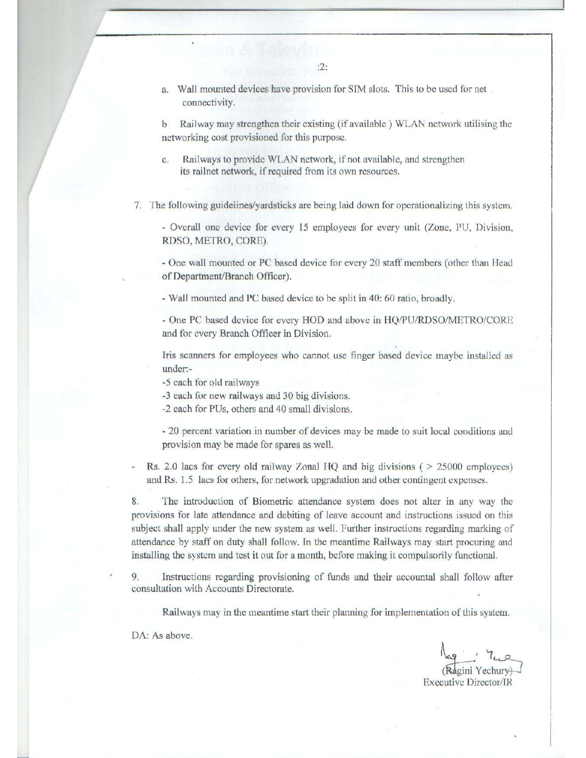Wall mounted devices have provision for SIM slots. This to be used for net a. connectivity.

Railway may strengthen their existing (if available) WLAN network utilising the  $\mathbf{h}$ networking cost provisioned for this purpose.

Railways to provide WLAN network, if not available, and strengthen  $\mathcal{C}$ . its railnet network, if required from its own resources.

7. The following guidelines/yardsticks are being laid down for operationalizing this system.

- Overall one device for every 15 employees for every unit (Zone, PU, Division, RDSO, METRO, CORE).

- One wall mounted or PC based device for every 20 staff members (other than Head of Department/Branch Officer).

- Wall mounted and PC based device to be split in 40: 60 ratio, broadly.

- One PC based device for every HOD and above in HQ/PU/RDSO/METRO/CORE and for every Branch Officer in Division.

Iris scanners for employees who cannot use finger based device maybe installed as under:-

-5 each for old railways

-3 each for new railways and 30 big divisions.

-2 each for PUs, others and 40 small divisions.

- 20 percent variation in number of devices may be made to suit local conditions and provision may be made for spares as well.

Rs. 2.0 lacs for every old railway Zonal HQ and big divisions ( $> 25000$  employees) and Rs. 1.5 lacs for others, for network upgradation and other contingent expenses.

The introduction of Biometric attendance system does not alter in any way the 8. provisions for late attendance and debiting of leave account and instructions issued on this subject shall apply under the new system as well. Further instructions regarding marking of attendance by staff on duty shall follow. In the meantime Railways may start procuring and installing the system and test it out for a month, before making it compulsorily functional.

9 Instructions regarding provisioning of funds and their accountal shall follow after consultation with Accounts Directorate.

Railways may in the meantime start their planning for implementation of this system.

DA: As above.

**Executive Director/IR**